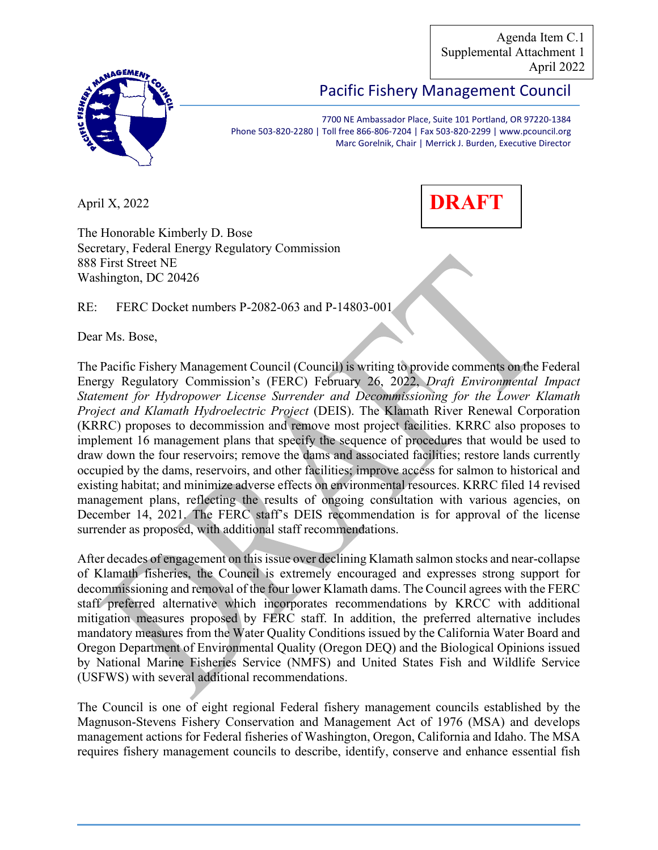Agenda Item C.1 Supplemental Attachment 1 April 2022



# Pacific Fishery Management Council

7700 NE Ambassador Place, Suite 101 Portland, OR 97220-1384 Phone 503-820-2280 | Toll free 866-806-7204 | Fax 503-820-2299 | www.pcouncil.org Marc Gorelnik, Chair | Merrick J. Burden, Executive Director

April X, 2022



The Honorable Kimberly D. Bose Secretary, Federal Energy Regulatory Commission 888 First Street NE Washington, DC 20426

RE: FERC Docket numbers P-2082-063 and P-14803-001

Dear Ms. Bose,

The Pacific Fishery Management Council (Council) is writing to provide comments on the Federal Energy Regulatory Commission's (FERC) February 26, 2022, *Draft Environmental Impact Statement for Hydropower License Surrender and Decommissioning for the Lower Klamath Project and Klamath Hydroelectric Project* (DEIS). The Klamath River Renewal Corporation (KRRC) proposes to decommission and remove most project facilities. KRRC also proposes to implement 16 management plans that specify the sequence of procedures that would be used to draw down the four reservoirs; remove the dams and associated facilities; restore lands currently occupied by the dams, reservoirs, and other facilities; improve access for salmon to historical and existing habitat; and minimize adverse effects on environmental resources. KRRC filed 14 revised management plans, reflecting the results of ongoing consultation with various agencies, on December 14, 2021. The FERC staff's DEIS recommendation is for approval of the license surrender as proposed, with additional staff recommendations.

After decades of engagement on this issue over declining Klamath salmon stocks and near-collapse of Klamath fisheries, the Council is extremely encouraged and expresses strong support for decommissioning and removal of the four lower Klamath dams. The Council agrees with the FERC staff preferred alternative which incorporates recommendations by KRCC with additional mitigation measures proposed by FERC staff. In addition, the preferred alternative includes mandatory measures from the Water Quality Conditions issued by the California Water Board and Oregon Department of Environmental Quality (Oregon DEQ) and the Biological Opinions issued by National Marine Fisheries Service (NMFS) and United States Fish and Wildlife Service (USFWS) with several additional recommendations.

The Council is one of eight regional Federal fishery management councils established by the Magnuson-Stevens Fishery Conservation and Management Act of 1976 (MSA) and develops management actions for Federal fisheries of Washington, Oregon, California and Idaho. The MSA requires fishery management councils to describe, identify, conserve and enhance essential fish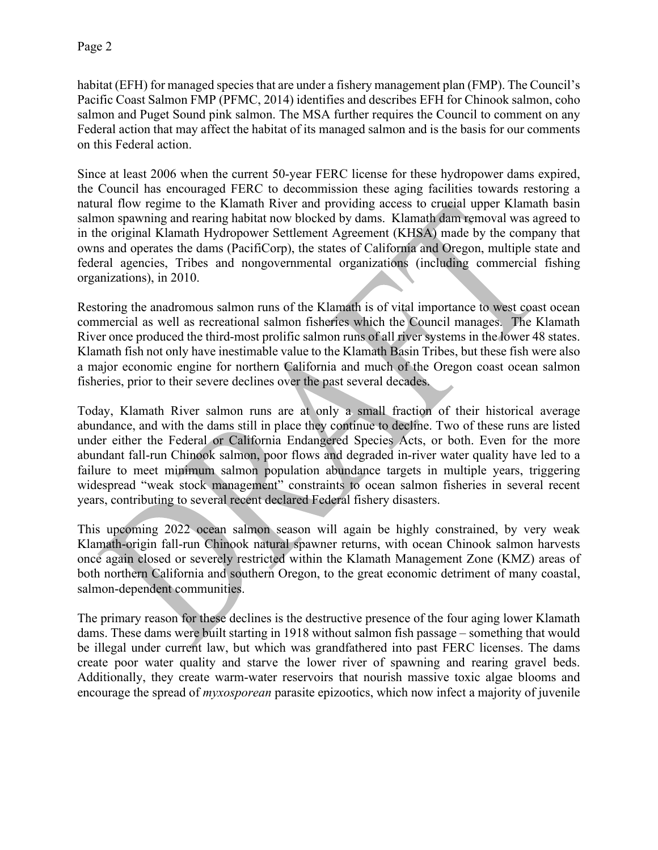habitat (EFH) for managed species that are under a fishery management plan (FMP). The Council's Pacific Coast Salmon FMP (PFMC, 2014) identifies and describes EFH for Chinook salmon, coho salmon and Puget Sound pink salmon. The MSA further requires the Council to comment on any Federal action that may affect the habitat of its managed salmon and is the basis for our comments on this Federal action.

Since at least 2006 when the current 50-year FERC license for these hydropower dams expired, the Council has encouraged FERC to decommission these aging facilities towards restoring a natural flow regime to the Klamath River and providing access to crucial upper Klamath basin salmon spawning and rearing habitat now blocked by dams. Klamath dam removal was agreed to in the original Klamath Hydropower Settlement Agreement (KHSA) made by the company that owns and operates the dams (PacifiCorp), the states of California and Oregon, multiple state and federal agencies, Tribes and nongovernmental organizations (including commercial fishing organizations), in 2010.

Restoring the anadromous salmon runs of the Klamath is of vital importance to west coast ocean commercial as well as recreational salmon fisheries which the Council manages. The Klamath River once produced the third-most prolific salmon runs of all river systems in the lower 48 states. Klamath fish not only have inestimable value to the Klamath Basin Tribes, but these fish were also a major economic engine for northern California and much of the Oregon coast ocean salmon fisheries, prior to their severe declines over the past several decades.

Today, Klamath River salmon runs are at only a small fraction of their historical average abundance, and with the dams still in place they continue to decline. Two of these runs are listed under either the Federal or California Endangered Species Acts, or both. Even for the more abundant fall-run Chinook salmon, poor flows and degraded in-river water quality have led to a failure to meet minimum salmon population abundance targets in multiple years, triggering widespread "weak stock management" constraints to ocean salmon fisheries in several recent years, contributing to several recent declared Federal fishery disasters.

This upcoming 2022 ocean salmon season will again be highly constrained, by very weak Klamath-origin fall-run Chinook natural spawner returns, with ocean Chinook salmon harvests once again closed or severely restricted within the Klamath Management Zone (KMZ) areas of both northern California and southern Oregon, to the great economic detriment of many coastal, salmon-dependent communities.

The primary reason for these declines is the destructive presence of the four aging lower Klamath dams. These dams were built starting in 1918 without salmon fish passage – something that would be illegal under current law, but which was grandfathered into past FERC licenses. The dams create poor water quality and starve the lower river of spawning and rearing gravel beds. Additionally, they create warm-water reservoirs that nourish massive toxic algae blooms and encourage the spread of *myxosporean* parasite epizootics, which now infect a majority of juvenile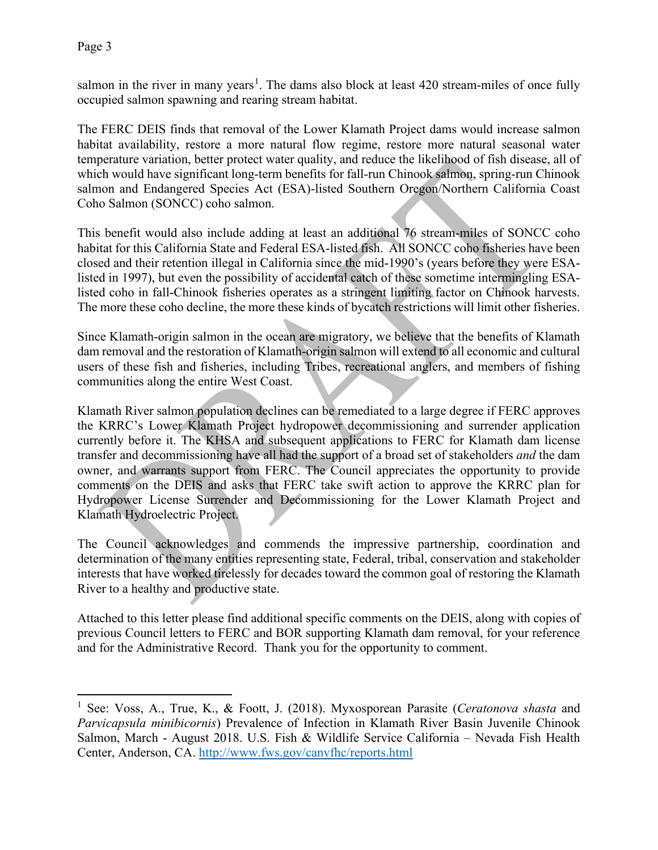salmon in the river in many years<sup>[1](#page-2-0)</sup>. The dams also block at least 420 stream-miles of once fully occupied salmon spawning and rearing stream habitat.

The FERC DEIS finds that removal of the Lower Klamath Project dams would increase salmon habitat availability, restore a more natural flow regime, restore more natural seasonal water temperature variation, better protect water quality, and reduce the likelihood of fish disease, all of which would have significant long-term benefits for fall-run Chinook salmon, spring-run Chinook salmon and Endangered Species Act (ESA)-listed Southern Oregon/Northern California Coast Coho Salmon (SONCC) coho salmon.

This benefit would also include adding at least an additional 76 stream-miles of SONCC coho habitat for this California State and Federal ESA-listed fish. All SONCC coho fisheries have been closed and their retention illegal in California since the mid-1990's (years before they were ESAlisted in 1997), but even the possibility of accidental catch of these sometime intermingling ESAlisted coho in fall-Chinook fisheries operates as a stringent limiting factor on Chinook harvests. The more these coho decline, the more these kinds of bycatch restrictions will limit other fisheries.

Since Klamath-origin salmon in the ocean are migratory, we believe that the benefits of Klamath dam removal and the restoration of Klamath-origin salmon will extend to all economic and cultural users of these fish and fisheries, including Tribes, recreational anglers, and members of fishing communities along the entire West Coast.

Klamath River salmon population declines can be remediated to a large degree if FERC approves the KRRC's Lower Klamath Project hydropower decommissioning and surrender application currently before it. The KHSA and subsequent applications to FERC for Klamath dam license transfer and decommissioning have all had the support of a broad set of stakeholders *and* the dam owner, and warrants support from FERC. The Council appreciates the opportunity to provide comments on the DEIS and asks that FERC take swift action to approve the KRRC plan for Hydropower License Surrender and Decommissioning for the Lower Klamath Project and Klamath Hydroelectric Project.

The Council acknowledges and commends the impressive partnership, coordination and determination of the many entities representing state, Federal, tribal, conservation and stakeholder interests that have worked tirelessly for decades toward the common goal of restoring the Klamath River to a healthy and productive state.

Attached to this letter please find additional specific comments on the DEIS, along with copies of previous Council letters to FERC and BOR supporting Klamath dam removal, for your reference and for the Administrative Record. Thank you for the opportunity to comment.

<span id="page-2-0"></span><sup>1</sup> See: Voss, A., True, K., & Foott, J. (2018). Myxosporean Parasite (*Ceratonova shasta* and *Parvicapsula minibicornis*) Prevalence of Infection in Klamath River Basin Juvenile Chinook Salmon, March - August 2018. U.S. Fish & Wildlife Service California – Nevada Fish Health Center, Anderson, CA.<http://www.fws.gov/canvfhc/reports.html>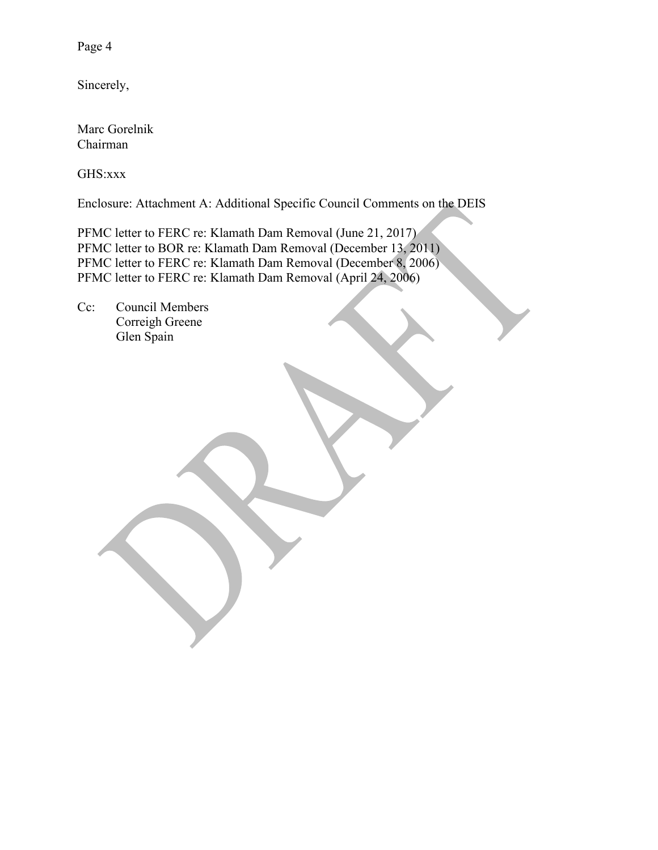Page 4

Sincerely,

Marc Gorelnik Chairman

GHS:xxx

Enclosure: Attachment A: Additional Specific Council Comments on the DEIS

PFMC letter to FERC re: Klamath Dam Removal (June 21, 2017) PFMC letter to BOR re: Klamath Dam Removal (December 13, 2011) PFMC letter to FERC re: Klamath Dam Removal (December 8, 2006) PFMC letter to FERC re: Klamath Dam Removal (April 24, 2006)

Cc: Council Members Correigh Greene Glen Spain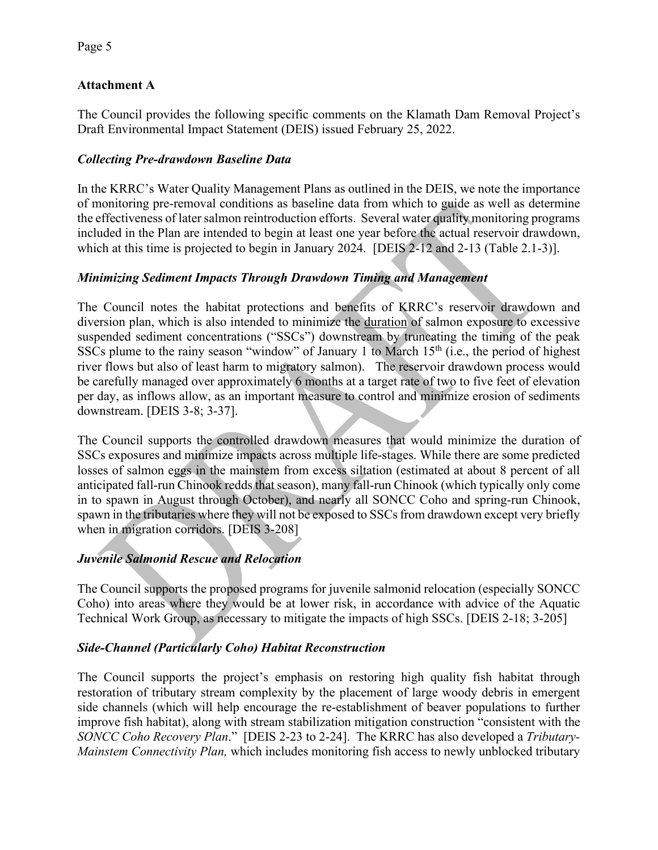## **Attachment A**

The Council provides the following specific comments on the Klamath Dam Removal Project's Draft Environmental Impact Statement (DEIS) issued February 25, 2022.

### *Collecting Pre-drawdown Baseline Data*

In the KRRC's Water Quality Management Plans as outlined in the DEIS, we note the importance of monitoring pre-removal conditions as baseline data from which to guide as well as determine the effectiveness of later salmon reintroduction efforts. Several water quality monitoring programs included in the Plan are intended to begin at least one year before the actual reservoir drawdown, which at this time is projected to begin in January 2024. [DEIS 2-12 and 2-13 (Table 2.1-3)].

## *Minimizing Sediment Impacts Through Drawdown Timing and Management*

The Council notes the habitat protections and benefits of KRRC's reservoir drawdown and diversion plan, which is also intended to minimize the duration of salmon exposure to excessive suspended sediment concentrations ("SSCs") downstream by truncating the timing of the peak SSCs plume to the rainy season "window" of January 1 to March  $15<sup>th</sup>$  (i.e., the period of highest river flows but also of least harm to migratory salmon). The reservoir drawdown process would be carefully managed over approximately 6 months at a target rate of two to five feet of elevation per day, as inflows allow, as an important measure to control and minimize erosion of sediments downstream. [DEIS 3-8; 3-37].

The Council supports the controlled drawdown measures that would minimize the duration of SSCs exposures and minimize impacts across multiple life-stages. While there are some predicted losses of salmon eggs in the mainstem from excess siltation (estimated at about 8 percent of all anticipated fall-run Chinook redds that season), many fall-run Chinook (which typically only come in to spawn in August through October), and nearly all SONCC Coho and spring-run Chinook, spawn in the tributaries where they will not be exposed to SSCs from drawdown except very briefly when in migration corridors. [DEIS 3-208]

## *Juvenile Salmonid Rescue and Relocation*

The Council supports the proposed programs for juvenile salmonid relocation (especially SONCC Coho) into areas where they would be at lower risk, in accordance with advice of the Aquatic Technical Work Group, as necessary to mitigate the impacts of high SSCs. [DEIS 2-18; 3-205]

## *Side-Channel (Particularly Coho) Habitat Reconstruction*

The Council supports the project's emphasis on restoring high quality fish habitat through restoration of tributary stream complexity by the placement of large woody debris in emergent side channels (which will help encourage the re-establishment of beaver populations to further improve fish habitat), along with stream stabilization mitigation construction "consistent with the *SONCC Coho Recovery Plan*." [DEIS 2-23 to 2-24]. The KRRC has also developed a *Tributary-Mainstem Connectivity Plan,* which includes monitoring fish access to newly unblocked tributary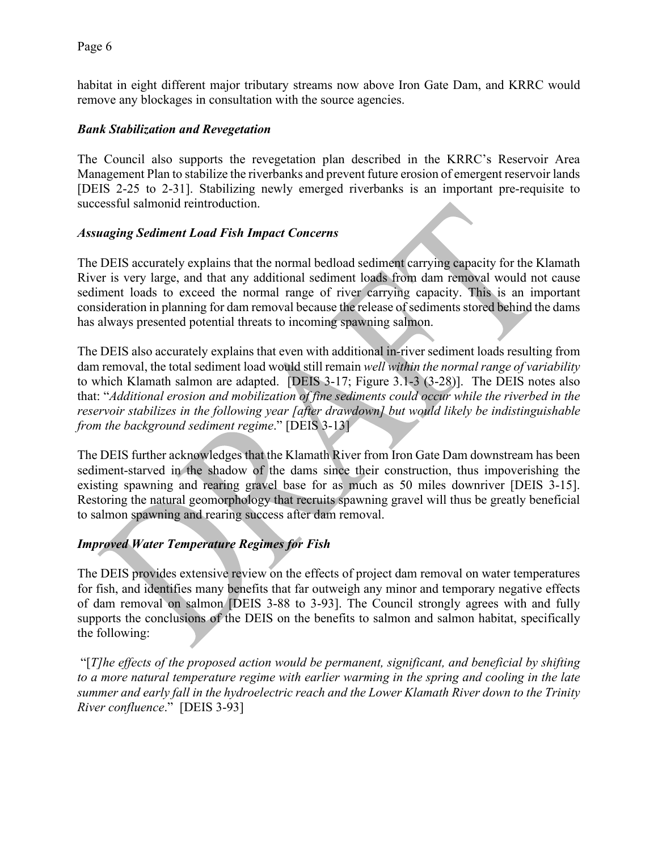habitat in eight different major tributary streams now above Iron Gate Dam, and KRRC would remove any blockages in consultation with the source agencies.

#### *Bank Stabilization and Revegetation*

The Council also supports the revegetation plan described in the KRRC's Reservoir Area Management Plan to stabilize the riverbanks and prevent future erosion of emergent reservoir lands [DEIS 2-25 to 2-31]. Stabilizing newly emerged riverbanks is an important pre-requisite to successful salmonid reintroduction.

#### *Assuaging Sediment Load Fish Impact Concerns*

The DEIS accurately explains that the normal bedload sediment carrying capacity for the Klamath River is very large, and that any additional sediment loads from dam removal would not cause sediment loads to exceed the normal range of river carrying capacity. This is an important consideration in planning for dam removal because the release of sediments stored behind the dams has always presented potential threats to incoming spawning salmon.

The DEIS also accurately explains that even with additional in-river sediment loads resulting from dam removal, the total sediment load would still remain *well within the normal range of variability* to which Klamath salmon are adapted. [DEIS 3-17; Figure 3.1-3 (3-28)]. The DEIS notes also that: "*Additional erosion and mobilization of fine sediments could occur while the riverbed in the reservoir stabilizes in the following year [after drawdown] but would likely be indistinguishable from the background sediment regime*." [DEIS 3-13]

The DEIS further acknowledges that the Klamath River from Iron Gate Dam downstream has been sediment-starved in the shadow of the dams since their construction, thus impoverishing the existing spawning and rearing gravel base for as much as 50 miles downriver [DEIS 3-15]. Restoring the natural geomorphology that recruits spawning gravel will thus be greatly beneficial to salmon spawning and rearing success after dam removal.

#### *Improved Water Temperature Regimes for Fish*

The DEIS provides extensive review on the effects of project dam removal on water temperatures for fish, and identifies many benefits that far outweigh any minor and temporary negative effects of dam removal on salmon [DEIS 3-88 to 3-93]. The Council strongly agrees with and fully supports the conclusions of the DEIS on the benefits to salmon and salmon habitat, specifically the following:

"[*T]he effects of the proposed action would be permanent, significant, and beneficial by shifting to a more natural temperature regime with earlier warming in the spring and cooling in the late summer and early fall in the hydroelectric reach and the Lower Klamath River down to the Trinity River confluence*." [DEIS 3-93]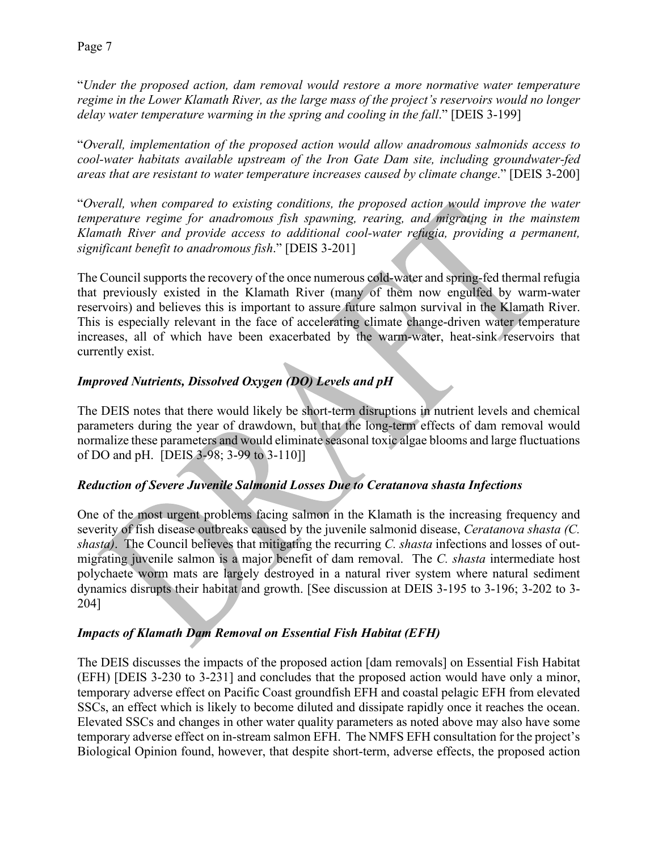"*Under the proposed action, dam removal would restore a more normative water temperature regime in the Lower Klamath River, as the large mass of the project's reservoirs would no longer delay water temperature warming in the spring and cooling in the fall*." [DEIS 3-199]

"*Overall, implementation of the proposed action would allow anadromous salmonids access to cool-water habitats available upstream of the Iron Gate Dam site, including groundwater-fed areas that are resistant to water temperature increases caused by climate change*." [DEIS 3-200]

"*Overall, when compared to existing conditions, the proposed action would improve the water temperature regime for anadromous fish spawning, rearing, and migrating in the mainstem Klamath River and provide access to additional cool-water refugia, providing a permanent, significant benefit to anadromous fish*." [DEIS 3-201]

The Council supports the recovery of the once numerous cold-water and spring-fed thermal refugia that previously existed in the Klamath River (many of them now engulfed by warm-water reservoirs) and believes this is important to assure future salmon survival in the Klamath River. This is especially relevant in the face of accelerating climate change-driven water temperature increases, all of which have been exacerbated by the warm-water, heat-sink reservoirs that currently exist.

## *Improved Nutrients, Dissolved Oxygen (DO) Levels and pH*

The DEIS notes that there would likely be short-term disruptions in nutrient levels and chemical parameters during the year of drawdown, but that the long-term effects of dam removal would normalize these parameters and would eliminate seasonal toxic algae blooms and large fluctuations of DO and pH. [DEIS 3-98; 3-99 to 3-110]]

## *Reduction of Severe Juvenile Salmonid Losses Due to Ceratanova shasta Infections*

One of the most urgent problems facing salmon in the Klamath is the increasing frequency and severity of fish disease outbreaks caused by the juvenile salmonid disease, *Ceratanova shasta (C. shasta)*. The Council believes that mitigating the recurring *C. shasta* infections and losses of outmigrating juvenile salmon is a major benefit of dam removal. The *C. shasta* intermediate host polychaete worm mats are largely destroyed in a natural river system where natural sediment dynamics disrupts their habitat and growth. [See discussion at DEIS 3-195 to 3-196; 3-202 to 3- 204]

## *Impacts of Klamath Dam Removal on Essential Fish Habitat (EFH)*

The DEIS discusses the impacts of the proposed action [dam removals] on Essential Fish Habitat (EFH) [DEIS 3-230 to 3-231] and concludes that the proposed action would have only a minor, temporary adverse effect on Pacific Coast groundfish EFH and coastal pelagic EFH from elevated SSCs, an effect which is likely to become diluted and dissipate rapidly once it reaches the ocean. Elevated SSCs and changes in other water quality parameters as noted above may also have some temporary adverse effect on in-stream salmon EFH. The NMFS EFH consultation for the project's Biological Opinion found, however, that despite short-term, adverse effects, the proposed action